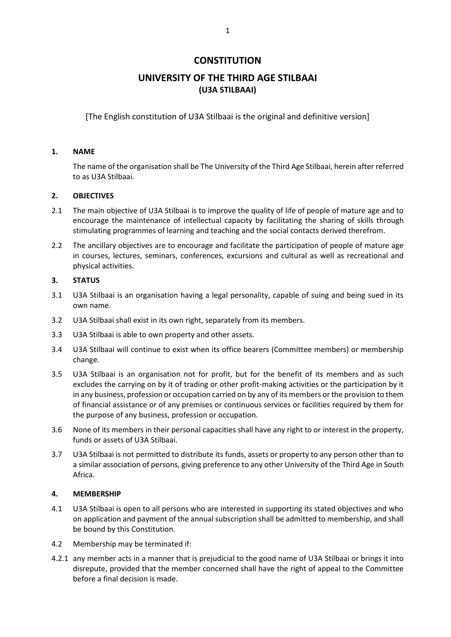# **CONSTITUTION**

# **UNIVERSITY OF THE THIRD AGE STILBAAI (U3A STILBAAI)**

[The English constitution of U3A Stilbaai is the original and definitive version]

# **1. NAME**

The name of the organisation shall be The University of the Third Age Stilbaai, herein after referred to as U3A Stilbaai.

# **2. OBJECTIVES**

- 2.1 The main objective of U3A Stilbaai is to improve the quality of life of people of mature age and to encourage the maintenance of intellectual capacity by facilitating the sharing of skills through stimulating programmes of learning and teaching and the social contacts derived therefrom.
- 2.2 The ancillary objectives are to encourage and facilitate the participation of people of mature age in courses, lectures, seminars, conferences, excursions and cultural as well as recreational and physical activities.

# **3. STATUS**

- 3.1 U3A Stilbaai is an organisation having a legal personality, capable of suing and being sued in its own name.
- 3.2 U3A Stilbaai shall exist in its own right, separately from its members.
- 3.3 U3A Stilbaai is able to own property and other assets.
- 3.4 U3A Stilbaai will continue to exist when its office bearers (Committee members) or membership change.
- 3.5 U3A Stilbaai is an organisation not for profit, but for the benefit of its members and as such excludes the carrying on by it of trading or other profit-making activities or the participation by it in any business, profession or occupation carried on by any of its members or the provision to them of financial assistance or of any premises or continuous services or facilities required by them for the purpose of any business, profession or occupation.
- 3.6 None of its members in their personal capacities shall have any right to or interest in the property, funds or assets of U3A Stilbaai.
- 3.7 U3A Stilbaai is not permitted to distribute its funds, assets or property to any person other than to a similar association of persons, giving preference to any other University of the Third Age in South Africa.

## **4. MEMBERSHIP**

- 4.1 U3A Stilbaai is open to all persons who are interested in supporting its stated objectives and who on application and payment of the annual subscription shall be admitted to membership, and shall be bound by this Constitution.
- 4.2 Membership may be terminated if:
- 4.2.1 any member acts in a manner that is prejudicial to the good name of U3A Stilbaai or brings it into disrepute, provided that the member concerned shall have the right of appeal to the Committee before a final decision is made.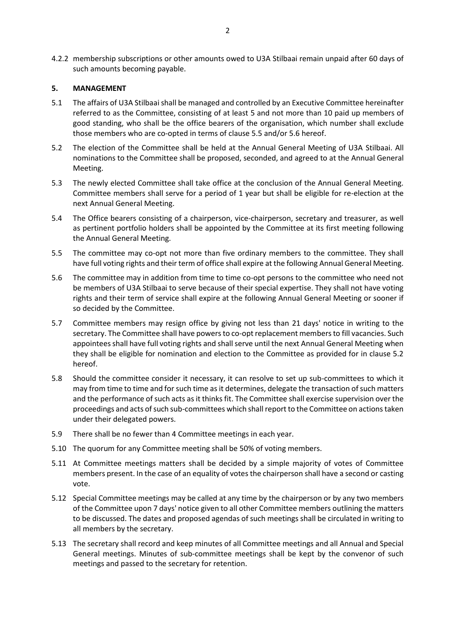4.2.2 membership subscriptions or other amounts owed to U3A Stilbaai remain unpaid after 60 days of such amounts becoming payable.

## **5. MANAGEMENT**

- 5.1 The affairs of U3A Stilbaai shall be managed and controlled by an Executive Committee hereinafter referred to as the Committee, consisting of at least 5 and not more than 10 paid up members of good standing, who shall be the office bearers of the organisation, which number shall exclude those members who are co-opted in terms of clause 5.5 and/or 5.6 hereof.
- 5.2 The election of the Committee shall be held at the Annual General Meeting of U3A Stilbaai. All nominations to the Committee shall be proposed, seconded, and agreed to at the Annual General Meeting.
- 5.3 The newly elected Committee shall take office at the conclusion of the Annual General Meeting. Committee members shall serve for a period of 1 year but shall be eligible for re-election at the next Annual General Meeting.
- 5.4 The Office bearers consisting of a chairperson, vice-chairperson, secretary and treasurer, as well as pertinent portfolio holders shall be appointed by the Committee at its first meeting following the Annual General Meeting.
- 5.5 The committee may co-opt not more than five ordinary members to the committee. They shall have full voting rights and their term of office shall expire at the following Annual General Meeting.
- 5.6 The committee may in addition from time to time co-opt persons to the committee who need not be members of U3A Stilbaai to serve because of their special expertise. They shall not have voting rights and their term of service shall expire at the following Annual General Meeting or sooner if so decided by the Committee.
- 5.7 Committee members may resign office by giving not less than 21 days' notice in writing to the secretary. The Committee shall have powers to co-opt replacement members to fill vacancies. Such appointees shall have full voting rights and shall serve until the next Annual General Meeting when they shall be eligible for nomination and election to the Committee as provided for in clause 5.2 hereof.
- 5.8 Should the committee consider it necessary, it can resolve to set up sub-committees to which it may from time to time and for such time as it determines, delegate the transaction of such matters and the performance of such acts as it thinks fit. The Committee shall exercise supervision over the proceedings and acts of such sub-committees which shall report to the Committee on actions taken under their delegated powers.
- 5.9 There shall be no fewer than 4 Committee meetings in each year.
- 5.10 The quorum for any Committee meeting shall be 50% of voting members.
- 5.11 At Committee meetings matters shall be decided by a simple majority of votes of Committee members present. In the case of an equality of votes the chairperson shall have a second or casting vote.
- 5.12 Special Committee meetings may be called at any time by the chairperson or by any two members of the Committee upon 7 days' notice given to all other Committee members outlining the matters to be discussed. The dates and proposed agendas of such meetings shall be circulated in writing to all members by the secretary.
- 5.13 The secretary shall record and keep minutes of all Committee meetings and all Annual and Special General meetings. Minutes of sub-committee meetings shall be kept by the convenor of such meetings and passed to the secretary for retention.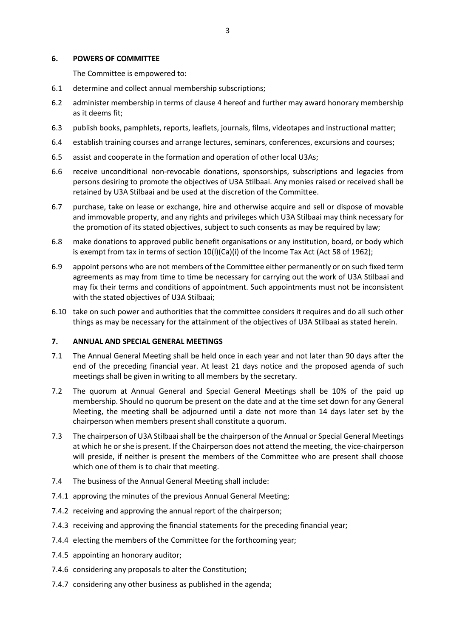#### **6. POWERS OF COMMITTEE**

The Committee is empowered to:

- 6.1 determine and collect annual membership subscriptions;
- 6.2 administer membership in terms of clause 4 hereof and further may award honorary membership as it deems fit;
- 6.3 publish books, pamphlets, reports, leaflets, journals, films, videotapes and instructional matter;
- 6.4 establish training courses and arrange lectures, seminars, conferences, excursions and courses;
- 6.5 assist and cooperate in the formation and operation of other local U3As;
- 6.6 receive unconditional non-revocable donations, sponsorships, subscriptions and legacies from persons desiring to promote the objectives of U3A Stilbaai. Any monies raised or received shall be retained by U3A Stilbaai and be used at the discretion of the Committee.
- 6.7 purchase, take on lease or exchange, hire and otherwise acquire and sell or dispose of movable and immovable property, and any rights and privileges which U3A Stilbaai may think necessary for the promotion of its stated objectives, subject to such consents as may be required by law;
- 6.8 make donations to approved public benefit organisations or any institution, board, or body which is exempt from tax in terms of section 10(l)(Ca)(i) of the Income Tax Act (Act 58 of 1962);
- 6.9 appoint persons who are not members of the Committee either permanently or on such fixed term agreements as may from time to time be necessary for carrying out the work of U3A Stilbaai and may fix their terms and conditions of appointment. Such appointments must not be inconsistent with the stated objectives of U3A Stilbaai;
- 6.10 take on such power and authorities that the committee considers it requires and do all such other things as may be necessary for the attainment of the objectives of U3A Stilbaai as stated herein.

#### **7. ANNUAL AND SPECIAL GENERAL MEETINGS**

- 7.1 The Annual General Meeting shall be held once in each year and not later than 90 days after the end of the preceding financial year. At least 21 days notice and the proposed agenda of such meetings shall be given in writing to all members by the secretary.
- 7.2 The quorum at Annual General and Special General Meetings shall be 10% of the paid up membership. Should no quorum be present on the date and at the time set down for any General Meeting, the meeting shall be adjourned until a date not more than 14 days later set by the chairperson when members present shall constitute a quorum.
- 7.3 The chairperson of U3A Stilbaai shall be the chairperson of the Annual or Special General Meetings at which he or she is present. If the Chairperson does not attend the meeting, the vice-chairperson will preside, if neither is present the members of the Committee who are present shall choose which one of them is to chair that meeting.
- 7.4 The business of the Annual General Meeting shall include:
- 7.4.1 approving the minutes of the previous Annual General Meeting;
- 7.4.2 receiving and approving the annual report of the chairperson;
- 7.4.3 receiving and approving the financial statements for the preceding financial year;
- 7.4.4 electing the members of the Committee for the forthcoming year;
- 7.4.5 appointing an honorary auditor;
- 7.4.6 considering any proposals to alter the Constitution;
- 7.4.7 considering any other business as published in the agenda;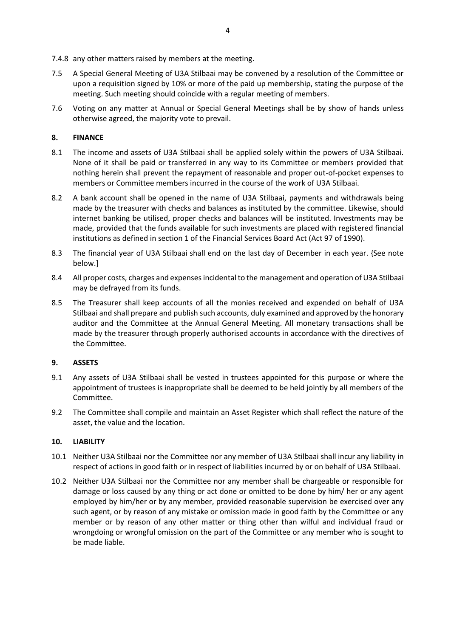7.4.8 any other matters raised by members at the meeting.

- 7.5 A Special General Meeting of U3A Stilbaai may be convened by a resolution of the Committee or upon a requisition signed by 10% or more of the paid up membership, stating the purpose of the meeting. Such meeting should coincide with a regular meeting of members.
- 7.6 Voting on any matter at Annual or Special General Meetings shall be by show of hands unless otherwise agreed, the majority vote to prevail.

# **8. FINANCE**

- 8.1 The income and assets of U3A Stilbaai shall be applied solely within the powers of U3A Stilbaai. None of it shall be paid or transferred in any way to its Committee or members provided that nothing herein shall prevent the repayment of reasonable and proper out-of-pocket expenses to members or Committee members incurred in the course of the work of U3A Stilbaai.
- 8.2 A bank account shall be opened in the name of U3A Stilbaai, payments and withdrawals being made by the treasurer with checks and balances as instituted by the committee. Likewise, should internet banking be utilised, proper checks and balances will be instituted. Investments may be made, provided that the funds available for such investments are placed with registered financial institutions as defined in section 1 of the Financial Services Board Act (Act 97 of 1990).
- 8.3 The financial year of U3A Stilbaai shall end on the last day of December in each year. {See note below.]
- 8.4 All proper costs, charges and expenses incidental to the management and operation of U3A Stilbaai may be defrayed from its funds.
- 8.5 The Treasurer shall keep accounts of all the monies received and expended on behalf of U3A Stilbaai and shall prepare and publish such accounts, duly examined and approved by the honorary auditor and the Committee at the Annual General Meeting. All monetary transactions shall be made by the treasurer through properly authorised accounts in accordance with the directives of the Committee.

## **9. ASSETS**

- 9.1 Any assets of U3A Stilbaai shall be vested in trustees appointed for this purpose or where the appointment of trustees is inappropriate shall be deemed to be held jointly by all members of the Committee.
- 9.2 The Committee shall compile and maintain an Asset Register which shall reflect the nature of the asset, the value and the location.

## **10. LIABILITY**

- 10.1 Neither U3A Stilbaai nor the Committee nor any member of U3A Stilbaai shall incur any liability in respect of actions in good faith or in respect of liabilities incurred by or on behalf of U3A Stilbaai.
- 10.2 Neither U3A Stilbaai nor the Committee nor any member shall be chargeable or responsible for damage or loss caused by any thing or act done or omitted to be done by him/ her or any agent employed by him/her or by any member, provided reasonable supervision be exercised over any such agent, or by reason of any mistake or omission made in good faith by the Committee or any member or by reason of any other matter or thing other than wilful and individual fraud or wrongdoing or wrongful omission on the part of the Committee or any member who is sought to be made liable.